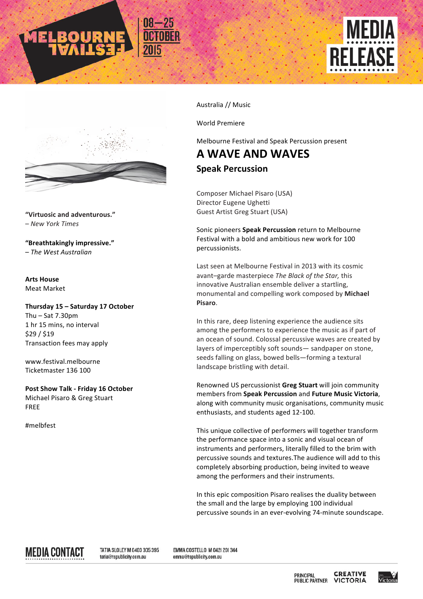

**"Virtuosic and adventurous."** – *New York Times*

**"Breathtakingly impressive."** – *The West Australian*

**Arts House** Meat Market

**Thursday 15 – Saturday 17 October** Thu  $-$  Sat  $7.30$ pm 1 hr 15 mins, no interval \$29 / \$19 Transaction fees may apply

www.festival.melbourne Ticketmaster 136 100

**Post Show Talk - Friday 16 October** Michael Pisaro & Greg Stuart FREE

#melbfest

Australia // Music

World Premiere 

Melbourne Festival and Speak Percussion present

FI FA

**A WAVE AND WAVES Speak Percussion** 

Composer Michael Pisaro (USA) Director Eugene Ughetti Guest Artist Greg Stuart (USA)

Sonic pioneers **Speak Percussion** return to Melbourne Festival with a bold and ambitious new work for 100 percussionists. 

Last seen at Melbourne Festival in 2013 with its cosmic avant-garde masterpiece The Black of the Star, this innovative Australian ensemble deliver a startling, monumental and compelling work composed by Michael **Pisaro**.

In this rare, deep listening experience the audience sits among the performers to experience the music as if part of an ocean of sound. Colossal percussive waves are created by layers of imperceptibly soft sounds— sandpaper on stone, seeds falling on glass, bowed bells-forming a textural landscape bristling with detail.

Renowned US percussionist Greg Stuart will join community members from **Speak Percussion** and **Future Music Victoria**, along with community music organisations, community music enthusiasts, and students aged 12-100.

This unique collective of performers will together transform the performance space into a sonic and visual ocean of instruments and performers, literally filled to the brim with percussive sounds and textures. The audience will add to this completely absorbing production, being invited to weave among the performers and their instruments.

In this epic composition Pisaro realises the duality between the small and the large by employing 100 individual percussive sounds in an ever-evolving 74-minute soundscape.

MEDIA CONTACT

TATIA SLOLEY M 0403 305 395 tatia@tspublicity.com.au

EMMA COSTELLO M 042| 20| 344 emma@tspublicity.com.au